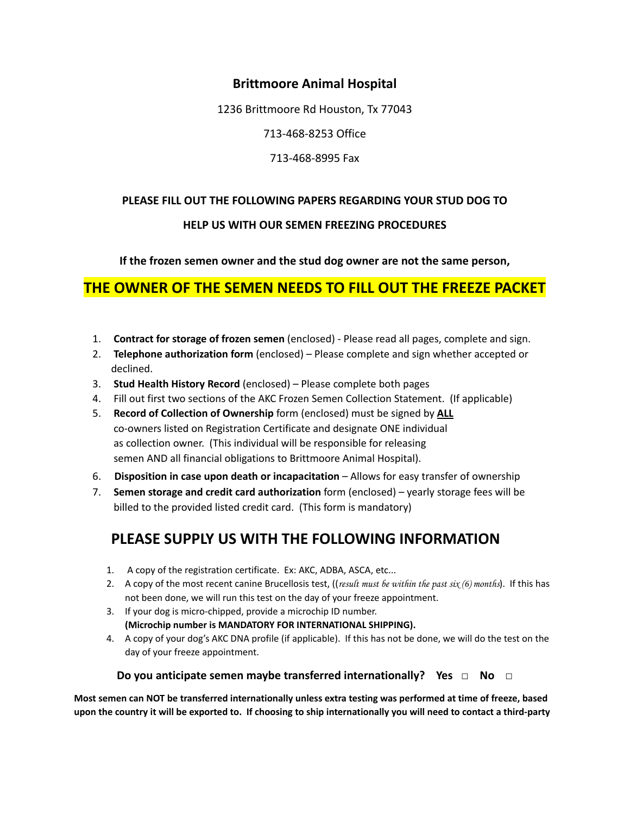## **Brittmoore Animal Hospital**

1236 Brittmoore Rd Houston, Tx 77043

713-468-8253 Office

713-468-8995 Fax

### **PLEASE FILL OUT THE FOLLOWING PAPERS REGARDING YOUR STUD DOG TO**

#### **HELP US WITH OUR SEMEN FREEZING PROCEDURES**

**If the frozen semen owner and the stud dog owner are not the same person,**

# **THE OWNER OF THE SEMEN NEEDS TO FILL OUT THE FREEZE PACKET**

- 1. **Contract for storage of frozen semen** (enclosed) Please read all pages, complete and sign.
- 2. **Telephone authorization form** (enclosed) Please complete and sign whether accepted or declined.
- 3. **Stud Health History Record** (enclosed) Please complete both pages
- 4. Fill out first two sections of the AKC Frozen Semen Collection Statement. (If applicable)
- 5. **Record of Collection of Ownership** form (enclosed) must be signed by **ALL** co-owners listed on Registration Certificate and designate ONE individual as collection owner. (This individual will be responsible for releasing semen AND all financial obligations to Brittmoore Animal Hospital).
- 6. **Disposition in case upon death or incapacitation** Allows for easy transfer of ownership
- 7. **Semen storage and credit card authorization** form (enclosed) yearly storage fees will be billed to the provided listed credit card. (This form is mandatory)

# **PLEASE SUPPLY US WITH THE FOLLOWING INFORMATION**

- 1. A copy of the registration certificate. Ex: AKC, ADBA, ASCA, etc...
- 2. A copy of the most recent canine Brucellosis test, ((*result must be within the past six (6) months*). If this has not been done, we will run this test on the day of your freeze appointment.
- 3. If your dog is micro-chipped, provide a microchip ID number. **(Microchip number is MANDATORY FOR INTERNATIONAL SHIPPING).**
- 4. A copy of your dog's AKC DNA profile (if applicable). If this has not be done, we will do the test on the day of your freeze appointment.

#### **Do you anticipate semen maybe transferred internationally? Yes □ No □**

Most semen can NOT be transferred internationally unless extra testing was performed at time of freeze, based upon the country it will be exported to. If choosing to ship internationally you will need to contact a third-party